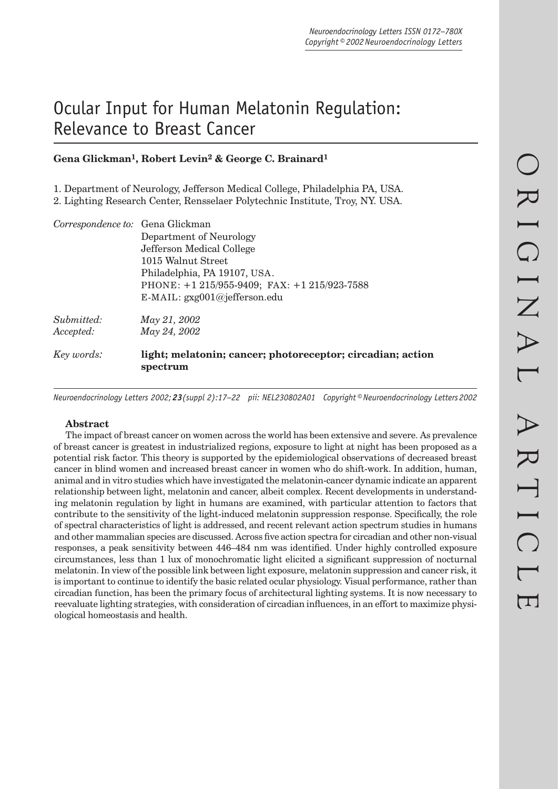# Ocular Input for Human Melatonin Regulation: Relevance to Breast Cancer

## **Gena Glickman1, Robert Levin2 & George C. Brainard1**

1. Department of Neurology, Jefferson Medical College, Philadelphia PA, USA.

2. Lighting Research Center, Rensselaer Polytechnic Institute, Troy, NY. USA.

| Correspondence to: Gena Glickman |                                                                        |  |  |  |  |  |
|----------------------------------|------------------------------------------------------------------------|--|--|--|--|--|
|                                  | Department of Neurology                                                |  |  |  |  |  |
|                                  | Jefferson Medical College                                              |  |  |  |  |  |
|                                  | 1015 Walnut Street                                                     |  |  |  |  |  |
|                                  | Philadelphia, PA 19107, USA.                                           |  |  |  |  |  |
|                                  | PHONE: +1 215/955-9409; FAX: +1 215/923-7588                           |  |  |  |  |  |
|                                  | E-MAIL: gxg001@jefferson.edu                                           |  |  |  |  |  |
| Submitted:                       | May 21, 2002                                                           |  |  |  |  |  |
| Accepted:                        | May 24, 2002                                                           |  |  |  |  |  |
| Key words:                       | light; melatonin; cancer; photoreceptor; circadian; action<br>spectrum |  |  |  |  |  |
|                                  |                                                                        |  |  |  |  |  |

*Neuroendocrinology Letters 2002; 23(suppl 2):17–22 pii: NEL230802A01 Copyright © Neuroendocrinology Letters 2002*

### **Abstract**

The impact of breast cancer on women across the world has been extensive and severe. As prevalence of breast cancer is greatest in industrialized regions, exposure to light at night has been proposed as a potential risk factor. This theory is supported by the epidemiological observations of decreased breast cancer in blind women and increased breast cancer in women who do shift-work. In addition, human, animal and in vitro studies which have investigated the melatonin-cancer dynamic indicate an apparent relationship between light, melatonin and cancer, albeit complex. Recent developments in understanding melatonin regulation by light in humans are examined, with particular attention to factors that contribute to the sensitivity of the light-induced melatonin suppression response. Specifically, the role of spectral characteristics of light is addressed, and recent relevant action spectrum studies in humans and other mammalian species are discussed. Across five action spectra for circadian and other non-visual responses, a peak sensitivity between 446–484 nm was identified. Under highly controlled exposure circumstances, less than 1 lux of monochromatic light elicited a significant suppression of nocturnal melatonin. In view of the possible link between light exposure, melatonin suppression and cancer risk, it is important to continue to identify the basic related ocular physiology. Visual performance, rather than circadian function, has been the primary focus of architectural lighting systems. It is now necessary to reevaluate lighting strategies, with consideration of circadian influences, in an effort to maximize physiological homeostasis and health.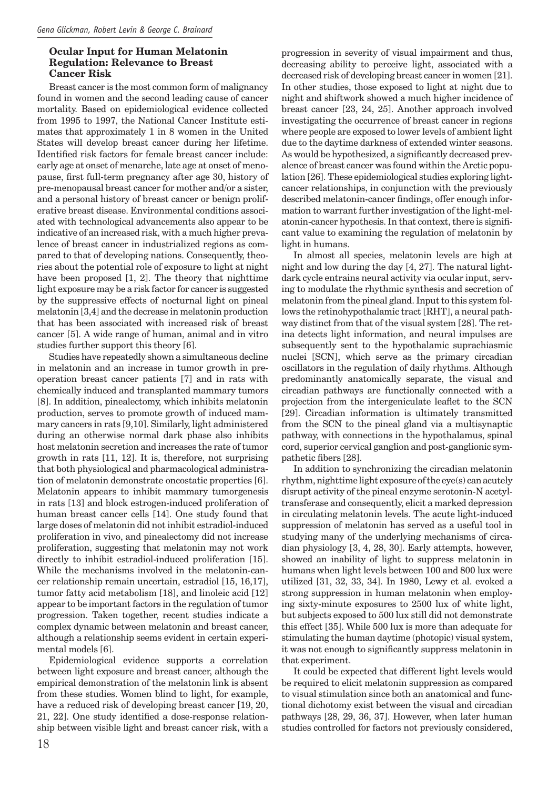#### **Ocular Input for Human Melatonin Regulation: Relevance to Breast Cancer Risk**

Breast cancer is the most common form of malignancy found in women and the second leading cause of cancer mortality. Based on epidemiological evidence collected from 1995 to 1997, the National Cancer Institute estimates that approximately 1 in 8 women in the United States will develop breast cancer during her lifetime. Identified risk factors for female breast cancer include: early age at onset of menarche, late age at onset of menopause, first full-term pregnancy after age 30, history of pre-menopausal breast cancer for mother and/or a sister, and a personal history of breast cancer or benign proliferative breast disease. Environmental conditions associated with technological advancements also appear to be indicative of an increased risk, with a much higher prevalence of breast cancer in industrialized regions as compared to that of developing nations. Consequently, theories about the potential role of exposure to light at night have been proposed [1, 2]. The theory that nighttime light exposure may be a risk factor for cancer is suggested by the suppressive effects of nocturnal light on pineal melatonin [3,4] and the decrease in melatonin production that has been associated with increased risk of breast cancer [5]. A wide range of human, animal and in vitro studies further support this theory [6].

Studies have repeatedly shown a simultaneous decline in melatonin and an increase in tumor growth in preoperation breast cancer patients [7] and in rats with chemically induced and transplanted mammary tumors [8]. In addition, pinealectomy, which inhibits melatonin production, serves to promote growth of induced mammary cancers in rats [9,10]. Similarly, light administered during an otherwise normal dark phase also inhibits host melatonin secretion and increases the rate of tumor growth in rats [11, 12]. It is, therefore, not surprising that both physiological and pharmacological administration of melatonin demonstrate oncostatic properties [6]. Melatonin appears to inhibit mammary tumorgenesis in rats [13] and block estrogen-induced proliferation of human breast cancer cells [14]. One study found that large doses of melatonin did not inhibit estradiol-induced proliferation in vivo, and pinealectomy did not increase proliferation, suggesting that melatonin may not work directly to inhibit estradiol-induced proliferation [15]. While the mechanisms involved in the melatonin-cancer relationship remain uncertain, estradiol [15, 16,17], tumor fatty acid metabolism [18], and linoleic acid [12] appear to be important factors in the regulation of tumor progression. Taken together, recent studies indicate a complex dynamic between melatonin and breast cancer, although a relationship seems evident in certain experimental models [6].

Epidemiological evidence supports a correlation between light exposure and breast cancer, although the empirical demonstration of the melatonin link is absent from these studies. Women blind to light, for example, have a reduced risk of developing breast cancer [19, 20, 21, 22]. One study identified a dose-response relationship between visible light and breast cancer risk, with a

progression in severity of visual impairment and thus, decreasing ability to perceive light, associated with a decreased risk of developing breast cancer in women [21]. In other studies, those exposed to light at night due to night and shiftwork showed a much higher incidence of breast cancer [23, 24, 25]. Another approach involved investigating the occurrence of breast cancer in regions where people are exposed to lower levels of ambient light due to the daytime darkness of extended winter seasons. As would be hypothesized, a significantly decreased prevalence of breast cancer was found within the Arctic population [26]. These epidemiological studies exploring lightcancer relationships, in conjunction with the previously described melatonin-cancer findings, offer enough information to warrant further investigation of the light-melatonin-cancer hypothesis. In that context, there is significant value to examining the regulation of melatonin by light in humans.

In almost all species, melatonin levels are high at night and low during the day [4, 27]. The natural lightdark cycle entrains neural activity via ocular input, serving to modulate the rhythmic synthesis and secretion of melatonin from the pineal gland. Input to this system follows the retinohypothalamic tract [RHT], a neural pathway distinct from that of the visual system [28]. The retina detects light information, and neural impulses are subsequently sent to the hypothalamic suprachiasmic nuclei [SCN], which serve as the primary circadian oscillators in the regulation of daily rhythms. Although predominantly anatomically separate, the visual and circadian pathways are functionally connected with a projection from the intergeniculate leaflet to the SCN [29]. Circadian information is ultimately transmitted from the SCN to the pineal gland via a multisynaptic pathway, with connections in the hypothalamus, spinal cord, superior cervical ganglion and post-ganglionic sympathetic fibers [28].

In addition to synchronizing the circadian melatonin rhythm, nighttime light exposure of the eye(s) can acutely disrupt activity of the pineal enzyme serotonin-N acetyltransferase and consequently, elicit a marked depression in circulating melatonin levels. The acute light-induced suppression of melatonin has served as a useful tool in studying many of the underlying mechanisms of circadian physiology [3, 4, 28, 30]. Early attempts, however, showed an inability of light to suppress melatonin in humans when light levels between 100 and 800 lux were utilized [31, 32, 33, 34]. In 1980, Lewy et al. evoked a strong suppression in human melatonin when employing sixty-minute exposures to 2500 lux of white light, but subjects exposed to 500 lux still did not demonstrate this effect [35]. While 500 lux is more than adequate for stimulating the human daytime (photopic) visual system, it was not enough to significantly suppress melatonin in that experiment.

It could be expected that different light levels would be required to elicit melatonin suppression as compared to visual stimulation since both an anatomical and functional dichotomy exist between the visual and circadian pathways [28, 29, 36, 37]. However, when later human studies controlled for factors not previously considered,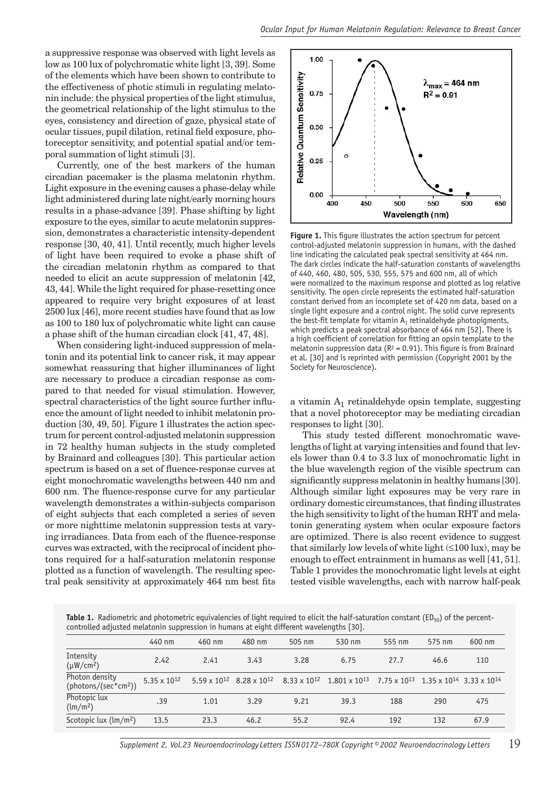a suppressive response was observed with light levels as low as 100 lux of polychromatic white light [3, 39]. Some of the elements which have been shown to contribute to the effectiveness of photic stimuli in regulating melatonin include: the physical properties of the light stimulus, the geometrical relationship of the light stimulus to the eyes, consistency and direction of gaze, physical state of ocular tissues, pupil dilation, retinal field exposure, photoreceptor sensitivity, and potential spatial and/or temporal summation of light stimuli [3].

Currently, one of the best markers of the human circadian pacemaker is the plasma melatonin rhythm. Light exposure in the evening causes a phase-delay while light administered during late night/early morning hours results in a phase-advance [39]. Phase shifting by light exposure to the eyes, similar to acute melatonin suppression, demonstrates a characteristic intensity-dependent response [30, 40, 41]. Until recently, much higher levels of light have been required to evoke a phase shift of the circadian melatonin rhythm as compared to that needed to elicit an acute suppression of melatonin [42, 43, 44]. While the light required for phase-resetting once appeared to require very bright exposures of at least 2500 lux [46], more recent studies have found that as low as 100 to 180 lux of polychromatic white light can cause a phase shift of the human circadian clock [41, 47, 48].

When considering light-induced suppression of melatonin and its potential link to cancer risk, it may appear somewhat reassuring that higher illuminances of light are necessary to produce a circadian response as compared to that needed for visual stimulation. However, spectral characteristics of the light source further influence the amount of light needed to inhibit melatonin production [30, 49, 50]. Figure 1 illustrates the action spectrum for percent control-adjusted melatonin suppression in 72 healthy human subjects in the study completed by Brainard and colleagues [30]. This particular action spectrum is based on a set of fluence-response curves at eight monochromatic wavelengths between 440 nm and 600 nm. The fluence-response curve for any particular wavelength demonstrates a within-subjects comparison of eight subjects that each completed a series of seven or more nighttime melatonin suppression tests at varying irradiances. Data from each of the fluence-response curves was extracted, with the reciprocal of incident photons required for a half-saturation melatonin response plotted as a function of wavelength. The resulting spectral peak sensitivity at approximately 464 nm best fits



**Figure 1.** This figure illustrates the action spectrum for percent control-adjusted melatonin suppression in humans, with the dashed line indicating the calculated peak spectral sensitivity at 464 nm. The dark circles indicate the half-saturation constants of wavelengths of 440, 460, 480, 505, 530, 555, 575 and 600 nm, all of which were normalized to the maximum response and plotted as log relative sensitivity. The open circle represents the estimated half-saturation constant derived from an incomplete set of 420 nm data, based on a single light exposure and a control night. The solid curve represents the best-fit template for vitamin  $A_1$  retinaldehyde photopigments, which predicts a peak spectral absorbance of 464 nm [52]. There is a high coefficient of correlation for fitting an opsin template to the melatonin suppression data ( $R^2 = 0.91$ ). This figure is from Brainard et al. [30] and is reprinted with permission (Copyright 2001 by the Society for Neuroscience).

a vitamin  $A_1$  retinaldehyde opsin template, suggesting that a novel photoreceptor may be mediating circadian responses to light [30].

This study tested different monochromatic wavelengths of light at varying intensities and found that levels lower than 0.4 to 3.3 lux of monochromatic light in the blue wavelength region of the visible spectrum can significantly suppress melatonin in healthy humans [30]. Although similar light exposures may be very rare in ordinary domestic circumstances, that finding illustrates the high sensitivity to light of the human RHT and melatonin generating system when ocular exposure factors are optimized. There is also recent evidence to suggest that similarly low levels of white light  $(\leq 100 \text{ lux})$ , may be enough to effect entrainment in humans as well [41, 51]. Table 1 provides the monochromatic light levels at eight tested visible wavelengths, each with narrow half-peak

**Table 1.** Radiometric and photometric equivalencies of light required to elicit the half-saturation constant (ED<sub>50</sub>) of the percentcontrolled adjusted melatonin suppression in humans at eight different wavelengths [30].

|                                                    | 440 nm                         | 460 nm | 480 nm                                        | 505 nm | 530 nm                                         | 555 nm                                                                  | 575 nm | 600 nm |
|----------------------------------------------------|--------------------------------|--------|-----------------------------------------------|--------|------------------------------------------------|-------------------------------------------------------------------------|--------|--------|
| Intensity<br>$(\mu W/cm^2)$                        | 2.42                           | 2.41   | 3.43                                          | 3.28   | 6.75                                           | 27.7                                                                    | 46.6   | 110    |
| Photon density<br>(photons/(sec*cm <sup>2</sup> )) | 5.35 $\times$ 10 <sup>12</sup> |        | $5.59 \times 10^{12}$ 8.28 x 10 <sup>12</sup> |        | $8.33 \times 10^{12}$ 1.801 x 10 <sup>13</sup> | 7.75 x 10 <sup>13</sup> 1.35 x 10 <sup>14</sup> 3.33 x 10 <sup>14</sup> |        |        |
| Photopic lux<br>(lm/m <sup>2</sup> )               | .39                            | 1.01   | 3.29                                          | 9.21   | 39.3                                           | 188                                                                     | 290    | 475    |
| Scotopic lux (lm/m <sup>2</sup> )                  | 13.5                           | 23.3   | 46.2                                          | 55.2   | 92.4                                           | 192                                                                     | 132    | 67.9   |
|                                                    |                                |        |                                               |        |                                                |                                                                         |        |        |

*Supplement 2, Vol.23 Neuroendocrinology Letters ISSN 0172–780X Copyright © 2002 Neuroendocrinology Letters* 19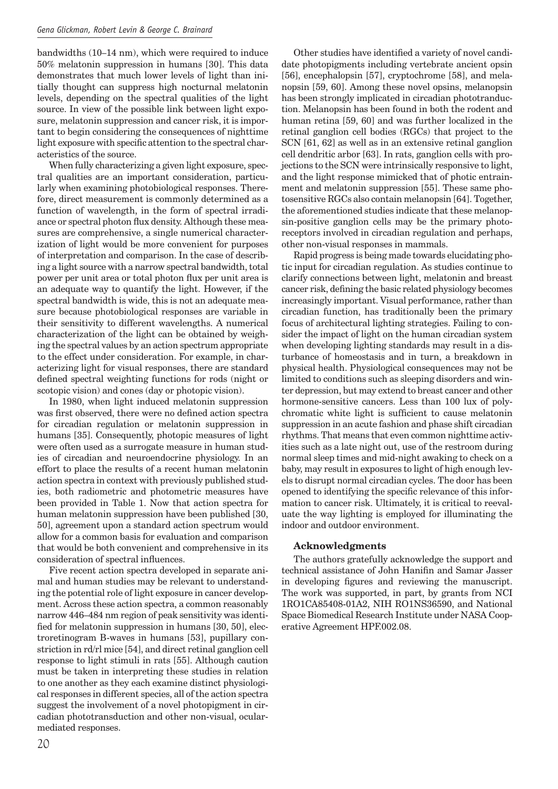bandwidths (10–14 nm), which were required to induce 50% melatonin suppression in humans [30]. This data demonstrates that much lower levels of light than initially thought can suppress high nocturnal melatonin levels, depending on the spectral qualities of the light source. In view of the possible link between light exposure, melatonin suppression and cancer risk, it is important to begin considering the consequences of nighttime light exposure with specific attention to the spectral characteristics of the source.

When fully characterizing a given light exposure, spectral qualities are an important consideration, particularly when examining photobiological responses. Therefore, direct measurement is commonly determined as a function of wavelength, in the form of spectral irradiance or spectral photon flux density. Although these measures are comprehensive, a single numerical characterization of light would be more convenient for purposes of interpretation and comparison. In the case of describing a light source with a narrow spectral bandwidth, total power per unit area or total photon flux per unit area is an adequate way to quantify the light. However, if the spectral bandwidth is wide, this is not an adequate measure because photobiological responses are variable in their sensitivity to different wavelengths. A numerical characterization of the light can be obtained by weighing the spectral values by an action spectrum appropriate to the effect under consideration. For example, in characterizing light for visual responses, there are standard defined spectral weighting functions for rods (night or scotopic vision) and cones (day or photopic vision).

In 1980, when light induced melatonin suppression was first observed, there were no defined action spectra for circadian regulation or melatonin suppression in humans [35]. Consequently, photopic measures of light were often used as a surrogate measure in human studies of circadian and neuroendocrine physiology. In an effort to place the results of a recent human melatonin action spectra in context with previously published studies, both radiometric and photometric measures have been provided in Table 1. Now that action spectra for human melatonin suppression have been published [30, 50], agreement upon a standard action spectrum would allow for a common basis for evaluation and comparison that would be both convenient and comprehensive in its consideration of spectral influences.

Five recent action spectra developed in separate animal and human studies may be relevant to understanding the potential role of light exposure in cancer development. Across these action spectra, a common reasonably narrow 446–484 nm region of peak sensitivity was identified for melatonin suppression in humans [30, 50], electroretinogram B-waves in humans [53], pupillary constriction in rd/rl mice [54], and direct retinal ganglion cell response to light stimuli in rats [55]. Although caution must be taken in interpreting these studies in relation to one another as they each examine distinct physiological responses in different species, all of the action spectra suggest the involvement of a novel photopigment in circadian phototransduction and other non-visual, ocularmediated responses.

Other studies have identified a variety of novel candidate photopigments including vertebrate ancient opsin [56], encephalopsin [57], cryptochrome [58], and melanopsin [59, 60]. Among these novel opsins, melanopsin has been strongly implicated in circadian phototranduction. Melanopsin has been found in both the rodent and human retina [59, 60] and was further localized in the retinal ganglion cell bodies (RGCs) that project to the SCN [61, 62] as well as in an extensive retinal ganglion cell dendritic arbor [63]. In rats, ganglion cells with projections to the SCN were intrinsically responsive to light, and the light response mimicked that of photic entrainment and melatonin suppression [55]. These same photosensitive RGCs also contain melanopsin [64]. Together, the aforementioned studies indicate that these melanopsin-positive ganglion cells may be the primary photoreceptors involved in circadian regulation and perhaps, other non-visual responses in mammals.

Rapid progress is being made towards elucidating photic input for circadian regulation. As studies continue to clarify connections between light, melatonin and breast cancer risk, defining the basic related physiology becomes increasingly important. Visual performance, rather than circadian function, has traditionally been the primary focus of architectural lighting strategies. Failing to consider the impact of light on the human circadian system when developing lighting standards may result in a disturbance of homeostasis and in turn, a breakdown in physical health. Physiological consequences may not be limited to conditions such as sleeping disorders and winter depression, but may extend to breast cancer and other hormone-sensitive cancers. Less than 100 lux of polychromatic white light is sufficient to cause melatonin suppression in an acute fashion and phase shift circadian rhythms. That means that even common nighttime activities such as a late night out, use of the restroom during normal sleep times and mid-night awaking to check on a baby, may result in exposures to light of high enough levels to disrupt normal circadian cycles. The door has been opened to identifying the specific relevance of this information to cancer risk. Ultimately, it is critical to reevaluate the way lighting is employed for illuminating the indoor and outdoor environment.

#### **Acknowledgments**

The authors gratefully acknowledge the support and technical assistance of John Hanifin and Samar Jasser in developing figures and reviewing the manuscript. The work was supported, in part, by grants from NCI 1RO1CA85408-01A2, NIH RO1NS36590, and National Space Biomedical Research Institute under NASA Cooperative Agreement HPF.002.08.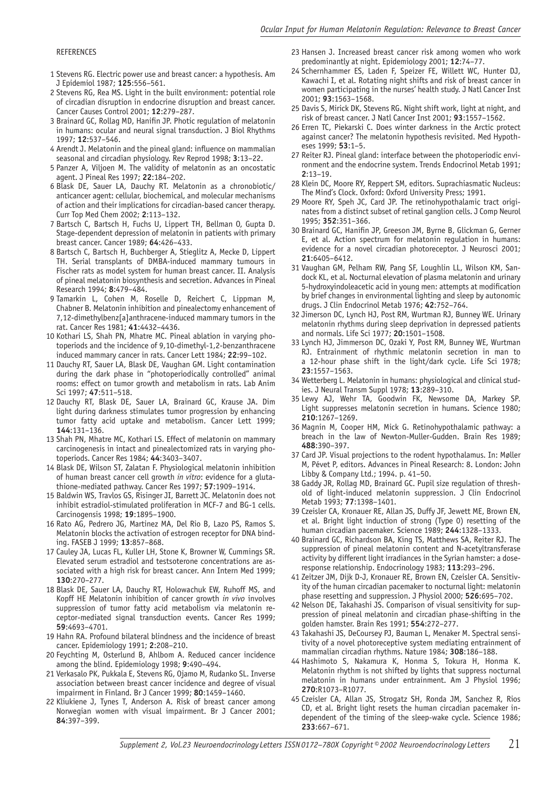#### REFERENCES

- 1 Stevens RG. Electric power use and breast cancer: a hypothesis. Am J Epidemiol 1987; **125**:556–561.
- 2 Stevens RG, Rea MS. Light in the built environment: potential role of circadian disruption in endocrine disruption and breast cancer. Cancer Causes Control 2001; **12**:279–287.
- 3 Brainard GC, Rollag MD, Hanifin JP. Photic regulation of melatonin in humans: ocular and neural signal transduction. J Biol Rhythms 1997; **12**:537–546.
- 4 Arendt J. Melatonin and the pineal gland: influence on mammalian seasonal and circadian physiology. Rev Reprod 1998; **3**:13–22.
- 5 Panzer A, Viljoen M. The validity of melatonin as an oncostatic agent. J Pineal Res 1997; **22**:184–202.
- 6 Blask DE, Sauer LA, Dauchy RT. Melatonin as a chronobiotic/ anticancer agent: cellular, biochemical, and molecular mechanisms of action and their implications for circadian-based cancer therapy. Curr Top Med Chem 2002; **2**:113–132.
- 7 Bartsch C, Bartsch H, Fuchs U, Lippert TH, Bellman O, Gupta D. Stage-dependent depression of melatonin in patients with primary breast cancer. Cancer 1989; **64**:426–433.
- 8 Bartsch C, Bartsch H, Buchberger A, Stieglitz A, Mecke D, Lippert TH. Serial transplants of DMBA-induced mammary tumours in Fischer rats as model system for human breast cancer. II. Analysis of pineal melatonin biosynthesis and secretion. Advances in Pineal Research 1994; **8**:479–484.
- 9 Tamarkin L, Cohen M, Roselle D, Reichert C, Lippman M, Chabner B. Melatonin inhibition and pinealectomy enhancement of 7,12-dimethylbenz[a]anthracene-induced mammary tumors in the rat. Cancer Res 1981; **41**:4432–4436.
- 10 Kothari LS, Shah PN, Mhatre MC. Pineal ablation in varying photoperiods and the incidence of 9,10-dimethyl-1,2-benzanthracene induced mammary cancer in rats. Cancer Lett 1984; **22**:99–102.
- 11 Dauchy RT, Sauer LA, Blask DE, Vaughan GM. Light contamination during the dark phase in "photoperiodically controlled" animal rooms: effect on tumor growth and metabolism in rats. Lab Anim Sci 1997; **47**:511–518.
- 12 Dauchy RT, Blask DE, Sauer LA, Brainard GC, Krause JA. Dim light during darkness stimulates tumor progression by enhancing tumor fatty acid uptake and metabolism. Cancer Lett 1999; **144**:131–136.
- 13 Shah PN, Mhatre MC, Kothari LS. Effect of melatonin on mammary carcinogenesis in intact and pinealectomized rats in varying photoperiods. Cancer Res 1984; **44**:3403–3407.
- 14 Blask DE, Wilson ST, Zalatan F. Physiological melatonin inhibition of human breast cancer cell growth *in vitro*: evidence for a glutathione-mediated pathway. Cancer Res 1997; **57**:1909–1914.
- 15 Baldwin WS, Travlos GS, Risinger JI, Barrett JC. Melatonin does not inhibit estradiol-stimulated proliferation in MCF-7 and BG-1 cells. Carcinogensis 1998; **19**:1895–1900.
- 16 Rato AG, Pedrero JG, Martinez MA, Del Rio B, Lazo PS, Ramos S. Melatonin blocks the activation of estrogen receptor for DNA binding. FASEB J 1999; **13**:857–868.
- 17 Cauley JA, Lucas FL, Kuller LH, Stone K, Browner W, Cummings SR. Elevated serum estradiol and testsoterone concentrations are associated with a high risk for breast cancer. Ann Intern Med 1999; **130**:270–277.
- 18 Blask DE, Sauer LA, Dauchy RT, Holowachuk EW, Ruhoff MS, and Kopff HE Melatonin inhibition of cancer growth *in vivo* involves suppression of tumor fatty acid metabolism via melatonin receptor-mediated signal transduction events. Cancer Res 1999; **59**:4693–4701.
- 19 Hahn RA. Profound bilateral blindness and the incidence of breast cancer. Epidemiology 1991; **2**:208–210.
- 20 Feychting M, Osterlund B, Ahlbom A. Reduced cancer incidence among the blind. Epidemiology 1998; **9**:490–494.
- 21 Verkasalo PK, Pukkala E, Stevens RG, Ojamo M, Rudanko SL. Inverse association between breast cancer incidence and degree of visual impairment in Finland. Br J Cancer 1999; **80**:1459–1460.
- 22 Kliukiene J, Tynes T, Anderson A. Risk of breast cancer among Norwegian women with visual impairment. Br J Cancer 2001; **84**:397–399.
- 23 Hansen J. Increased breast cancer risk among women who work predominantly at night. Epidemiology 2001; **12**:74–77.
- 24 Schernhammer ES, Laden F, Speizer FE, Willett WC, Hunter DJ, Kawachi I, et al. Rotating night shifts and risk of breast cancer in women participating in the nurses' health study. J Natl Cancer Inst 2001; **93**:1563–1568.
- 25 Davis S, Mirick DK, Stevens RG. Night shift work, light at night, and risk of breast cancer. J Natl Cancer Inst 2001; **93**:1557–1562.
- 26 Erren TC, Piekarski C. Does winter darkness in the Arctic protect against cancer? The melatonin hypothesis revisited. Med Hypotheses 1999; **53**:1–5.
- 27 Reiter RJ. Pineal gland: interface between the photoperiodic environment and the endocrine system. Trends Endocrinol Metab 1991; **2**:13–19.
- 28 Klein DC, Moore RY, Reppert SM, editors. Suprachiasmatic Nucleus: The Mind's Clock. Oxford: Oxford University Press; 1991.
- 29 Moore RY, Speh JC, Card JP. The retinohypothalamic tract originates from a distinct subset of retinal ganglion cells. J Comp Neurol 1995; **352**:351–366.
- 30 Brainard GC, Hanifin JP, Greeson JM, Byrne B, Glickman G, Gerner E, et al. Action spectrum for melatonin regulation in humans: evidence for a novel circadian photoreceptor. J Neurosci 2001; **21**:6405–6412.
- 31 Vaughan GM, Pelham RW, Pang SF, Loughlin LL, Wilson KM, Sandock KL, et al. Nocturnal elevation of plasma melatonin and urinary 5-hydroxyindoleacetic acid in young men: attempts at modification by brief changes in environmental lighting and sleep by autonomic drugs. J Clin Endocrinol Metab 1976; **42**:752–764.
- 32 Jimerson DC, Lynch HJ, Post RM, Wurtman RJ, Bunney WE. Urinary melatonin rhythms during sleep deprivation in depressed patients and normals. Life Sci 1977; **20**:1501–1508.
- 33 Lynch HJ, Jimmerson DC, Ozaki Y, Post RM, Bunney WE, Wurtman RJ. Entrainment of rhythmic melatonin secretion in man to a 12-hour phase shift in the light/dark cycle. Life Sci 1978; **23**:1557–1563.
- 34 Wetterberg L. Melatonin in humans: physiological and clinical studies. J Neural Transm Suppl 1978; **13**:289–310.
- 35 Lewy AJ, Wehr TA, Goodwin FK, Newsome DA, Markey SP. Light suppresses melatonin secretion in humans. Science 1980; **210**:1267–1269.
- 36 Magnin M, Cooper HM, Mick G. Retinohypothalamic pathway: a breach in the law of Newton-Muller-Gudden. Brain Res 1989; **488**:390–397.
- 37 Card JP. Visual projections to the rodent hypothalamus. In: Møller M, Pévet P, editors. Advances in Pineal Research: 8. London: John Libby & Company Ltd.; 1994. p. 41–50.
- 38 Gaddy JR, Rollag MD, Brainard GC. Pupil size regulation of threshold of light-induced melatonin suppression. J Clin Endocrinol Metab 1993; **77**:1398–1401.
- 39 Czeisler CA, Kronauer RE, Allan JS, Duffy JF, Jewett ME, Brown EN, et al. Bright light induction of strong (Type 0) resetting of the human circadian pacemaker. Science 1989; **244**:1328–1333.
- 40 Brainard GC, Richardson BA, King TS, Matthews SA, Reiter RJ. The suppression of pineal melatonin content and N-acetyltransferase activity by different light irradiances in the Syrian hamster: a doseresponse relationship. Endocrinology 1983; **113**:293–296.
- 41 Zeitzer JM, Dijk D-J, Kronauer RE, Brown EN, Czeisler CA. Sensitivity of the human circadian pacemaker to nocturnal light: melatonin phase resetting and suppression. J Physiol 2000; **526**:695–702.
- 42 Nelson DE, Takahashi JS. Comparison of visual sensitivity for suppression of pineal melatonin and circadian phase-shifting in the golden hamster. Brain Res 1991; **554**:272–277.
- 43 Takahashi JS, DeCoursey PJ, Bauman L, Menaker M. Spectral sensitivity of a novel photoreceptive system mediating entrainment of mammalian circadian rhythms. Nature 1984; **308**:186–188.
- 44 Hashimoto S, Nakamura K, Honma S, Tokura H, Honma K. Melatonin rhythm is not shifted by lights that suppress nocturnal melatonin in humans under entrainment. Am J Physiol 1996; **270**:R1073–R1077.
- 45 Czeisler CA, Allan JS, Strogatz SH, Ronda JM, Sanchez R, Rios CD, et al. Bright light resets the human circadian pacemaker independent of the timing of the sleep-wake cycle. Science 1986; **233**:667–671.